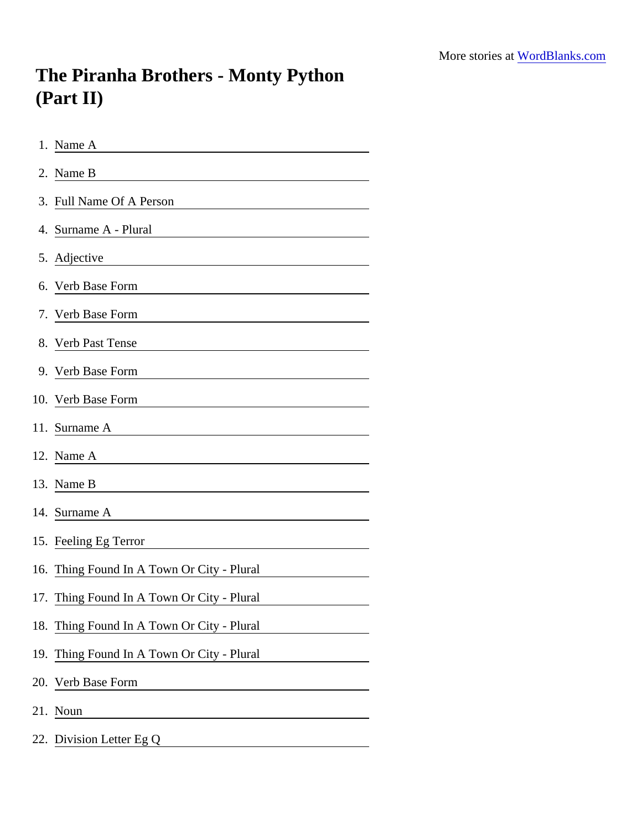## The Piranha Brothers - Monty Python (Part II)

| 1. Name A                                                                                                                                       |
|-------------------------------------------------------------------------------------------------------------------------------------------------|
| 2. Name B                                                                                                                                       |
| 3. Full Name Of A Person                                                                                                                        |
| 4. Surname A - Plural<br><u> 1980 - Jan Samuel Barbara, margaret e populazion del control del control del control del control de la control</u> |
| 5. Adjective<br><u> 1989 - Johann Stein, fransk politik (d. 1989)</u>                                                                           |
| 6. Verb Base Form                                                                                                                               |
| 7. Verb Base Form                                                                                                                               |
| 8. Verb Past Tense                                                                                                                              |
|                                                                                                                                                 |
| 10. Verb Base Form                                                                                                                              |
| 11. Surname A<br><u> 1980 - Jan Stein Stein Stein Stein Stein Stein Stein Stein Stein Stein Stein Stein Stein Stein Stein Stein S</u>           |
| 12. Name A                                                                                                                                      |
| 13. Name B                                                                                                                                      |
| 14. Surname A                                                                                                                                   |
| 15. Feeling Eg Terror                                                                                                                           |
| 16. Thing Found In A Town Or City - Plural                                                                                                      |
| 17. Thing Found In A Town Or City - Plural                                                                                                      |
| 18. Thing Found In A Town Or City - Plural                                                                                                      |
| 19. Thing Found In A Town Or City - Plural                                                                                                      |
| 20. Verb Base Form                                                                                                                              |
| 21. Noun                                                                                                                                        |
| 22. Division Letter Eg Q                                                                                                                        |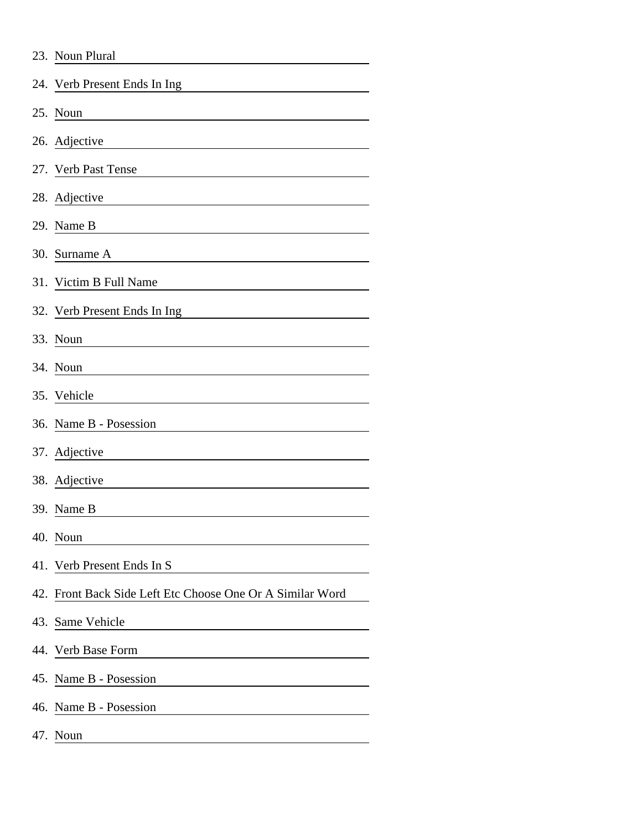| 23. Noun Plural                                           |
|-----------------------------------------------------------|
| 24. Verb Present Ends In Ing                              |
| 25. Noun                                                  |
| 26. Adjective                                             |
| 27. Verb Past Tense                                       |
| 28. Adjective                                             |
| 29. Name B                                                |
| 30. Surname A                                             |
| 31. Victim B Full Name                                    |
| 32. Verb Present Ends In Ing                              |
| 33. Noun                                                  |
| 34. Noun                                                  |
| 35. Vehicle                                               |
| 36. Name B - Posession                                    |
| 37. Adjective                                             |
| 38. Adjective                                             |
| 39. Name B                                                |
| 40. Noun                                                  |
| 41. Verb Present Ends In S                                |
| 42. Front Back Side Left Etc Choose One Or A Similar Word |
| 43. Same Vehicle                                          |
| 44. Verb Base Form                                        |
| 45. Name B - Posession                                    |
| 46. Name B - Posession                                    |
| 47. Noun                                                  |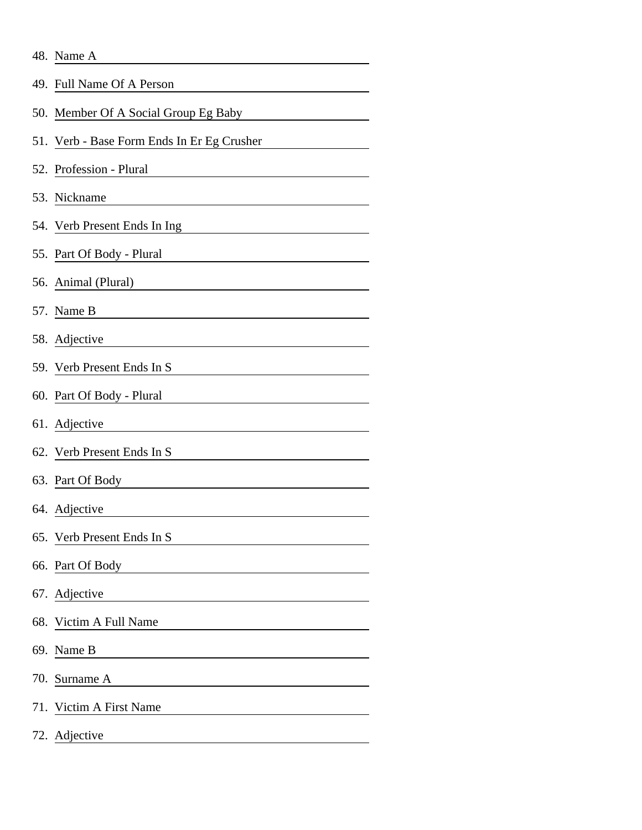| 48. Name A |  |  |
|------------|--|--|
|            |  |  |

| 49. Full Name Of A Person                                           |
|---------------------------------------------------------------------|
|                                                                     |
| 50. Member Of A Social Group Eg Baby                                |
| 51. Verb - Base Form Ends In Er Eg Crusher                          |
| 52. Profession - Plural                                             |
| 53. Nickname                                                        |
| 54. Verb Present Ends In Ing                                        |
| 55. Part Of Body - Plural                                           |
| 56. Animal (Plural)                                                 |
| 57. Name B                                                          |
| 58. Adjective                                                       |
| 59. Verb Present Ends In S                                          |
| 60. Part Of Body - Plural                                           |
| 61. Adjective                                                       |
| 62. Verb Present Ends In S                                          |
| 63. Part Of Body                                                    |
| 64. Adjective                                                       |
| 65. Verb Present Ends In S                                          |
| 66. Part Of Body                                                    |
| 67. Adjective                                                       |
| 68. Victim A Full Name                                              |
| 69. Name B<br><u> 1980 - Andrea Stadt Britain, fransk politik (</u> |
| 70. Surname A<br><u> 1989 - Andrea Andrew Maria (b. 1989)</u>       |
| 71. Victim A First Name                                             |
| 72. Adjective                                                       |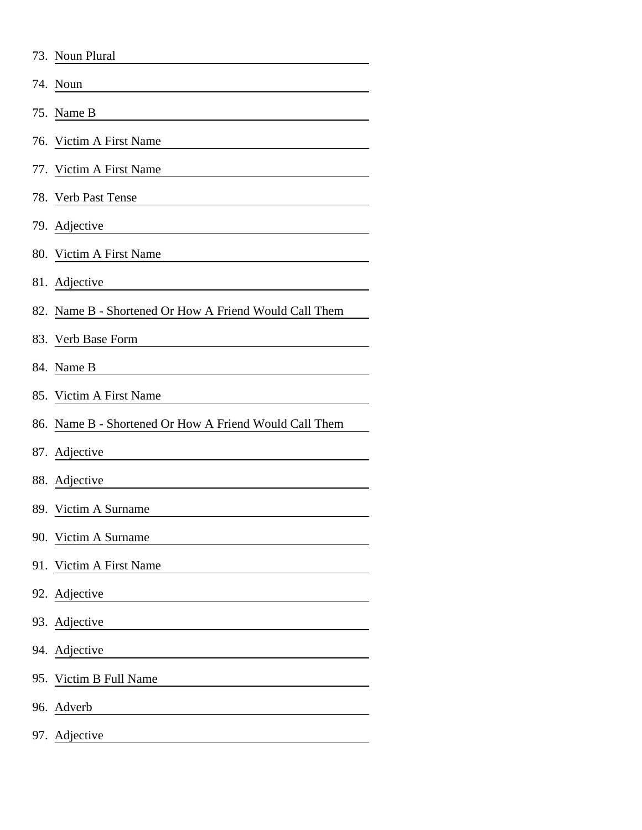|     | 73. Noun Plural                                        |
|-----|--------------------------------------------------------|
|     | 74. Noun                                               |
|     | 75. Name B                                             |
| 76. | Victim A First Name                                    |
| 77. | Victim A First Name                                    |
|     | 78. Verb Past Tense                                    |
|     | 79. Adjective                                          |
|     | 80. Victim A First Name                                |
|     | 81. Adjective                                          |
|     | 82. Name B - Shortened Or How A Friend Would Call Them |
|     | 83. Verb Base Form                                     |
|     | 84. Name B                                             |
|     | 85. Victim A First Name                                |
|     | 86. Name B - Shortened Or How A Friend Would Call Them |
|     | 87. Adjective                                          |
|     | 88. Adjective                                          |
|     | 89. Victim A Surname                                   |
|     | 90. Victim A Surname                                   |
| 91. | Victim A First Name                                    |
|     | 92. Adjective                                          |
|     | 93. Adjective                                          |
| 94. | Adjective                                              |
|     | 95. Victim B Full Name                                 |
|     | 96. Adverb                                             |
|     | 97. Adjective                                          |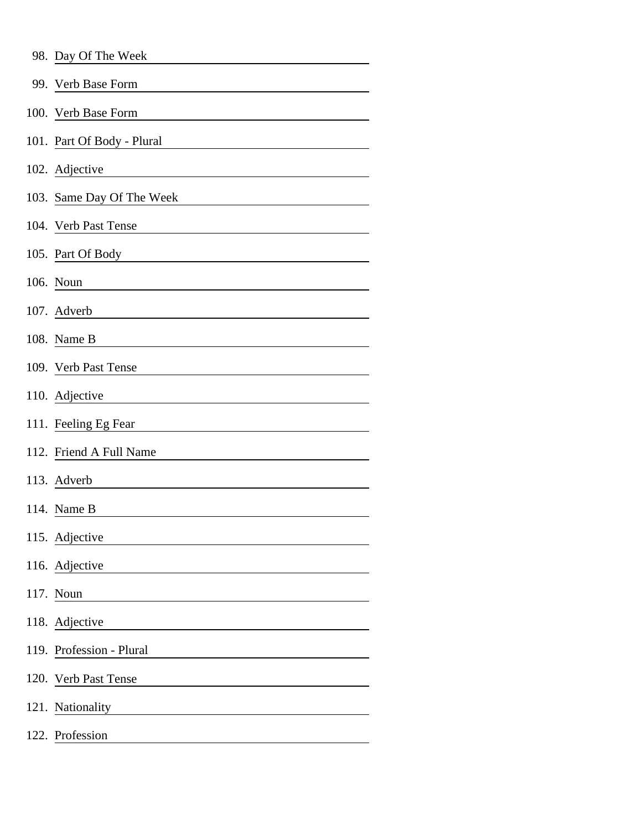| 98. Day Of The Week        |
|----------------------------|
| 99. Verb Base Form         |
| 100. Verb Base Form        |
| 101. Part Of Body - Plural |
| 102. Adjective             |
| 103. Same Day Of The Week  |
| 104. Verb Past Tense       |
| 105. Part Of Body          |
| 106. Noun                  |
| 107. Adverb                |
| 108. Name B                |
| 109. Verb Past Tense       |
| 110. Adjective             |
| 111. Feeling Eg Fear       |
| 112. Friend A Full Name    |
| 113. Adverb                |
| 114. Name B                |
| 115. Adjective             |
| 116. Adjective             |
| 117. Noun                  |
| 118. Adjective             |
| 119. Profession - Plural   |
| 120. Verb Past Tense       |
| 121. Nationality           |
| 122. Profession            |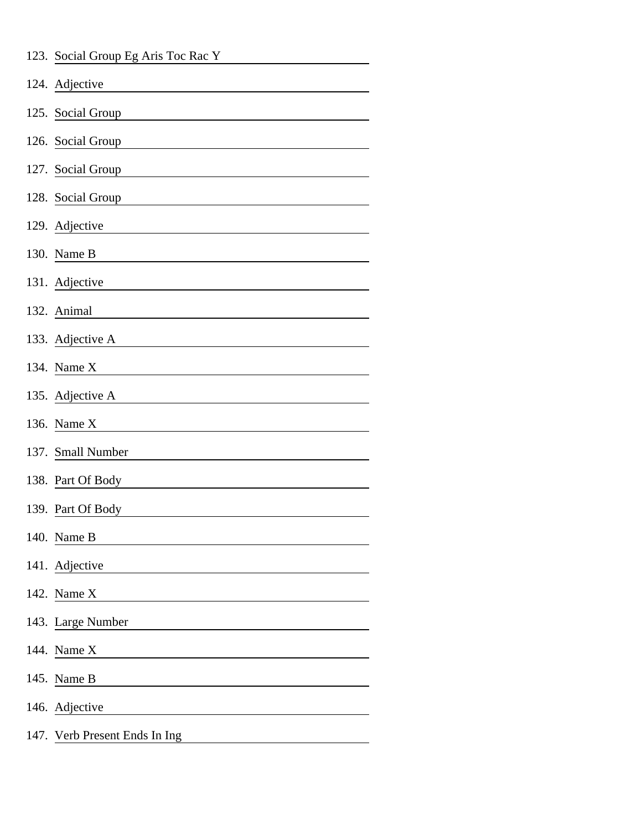| 123. Social Group Eg Aris Toc Rac Y |
|-------------------------------------|
| 124. Adjective                      |
| 125. Social Group                   |
| 126. Social Group                   |
| 127. Social Group                   |
| 128. Social Group                   |
| 129. Adjective                      |
| 130. Name B                         |
| 131. Adjective                      |
| 132. Animal                         |
| 133. Adjective A                    |
| 134. Name X                         |
| 135. Adjective A                    |
| 136. Name X                         |
| 137. Small Number                   |
| 138. Part Of Body                   |
| 139. Part Of Body                   |
| 140. Name B                         |
| 141. Adjective                      |
| 142. Name X                         |
| 143. Large Number                   |
| 144. Name X                         |
| 145. Name B                         |
| 146. Adjective                      |
| 147. Verb Present Ends In Ing       |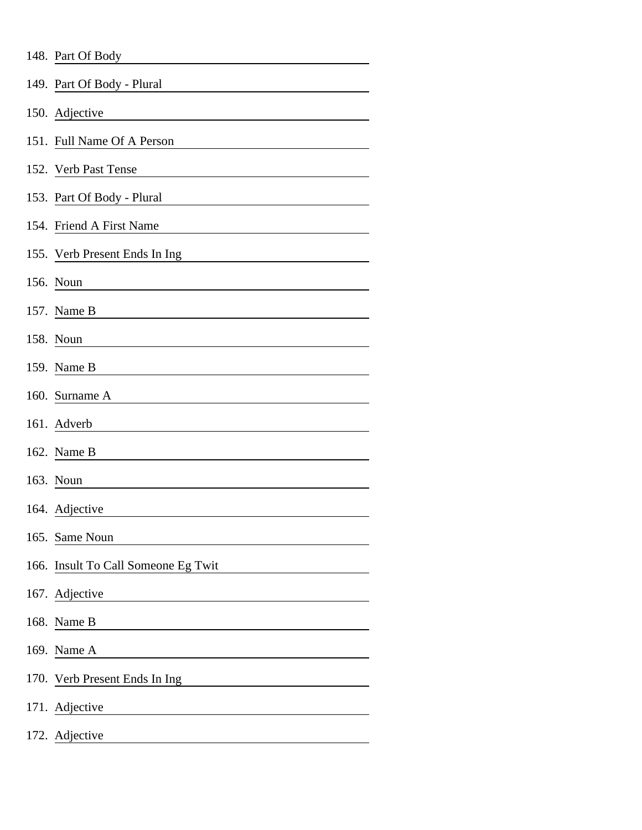| 148. Part Of Body                   |
|-------------------------------------|
| 149. Part Of Body - Plural          |
| 150. Adjective                      |
| 151. Full Name Of A Person          |
| 152. Verb Past Tense                |
| 153. Part Of Body - Plural          |
| 154. Friend A First Name            |
| 155. Verb Present Ends In Ing       |
| 156. Noun                           |
| 157. Name B                         |
| 158. Noun                           |
| 159. Name B                         |
| 160. Surname A                      |
| 161. Adverb                         |
| 162. Name B                         |
| 163. Noun                           |
| 164. Adjective                      |
| 165. Same Noun                      |
| 166. Insult To Call Someone Eg Twit |
| 167. Adjective                      |
| 168. Name B                         |
| 169. Name A                         |
| 170. Verb Present Ends In Ing       |
| 171. Adjective                      |
| 172. Adjective                      |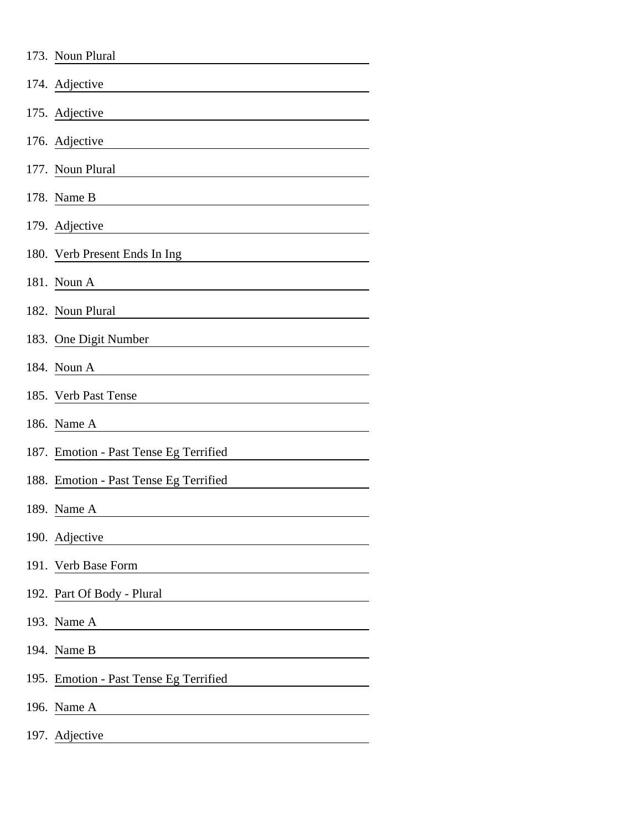| 173. Noun Plural                       |
|----------------------------------------|
| 174. Adjective                         |
| 175. Adjective                         |
| 176. Adjective                         |
| 177. Noun Plural                       |
| 178. Name B                            |
| 179. Adjective                         |
| 180. Verb Present Ends In Ing          |
| 181. Noun A                            |
| 182. Noun Plural                       |
| 183. One Digit Number                  |
| 184. Noun A                            |
| 185. Verb Past Tense                   |
| 186. Name A                            |
| 187. Emotion - Past Tense Eg Terrified |
| 188. Emotion - Past Tense Eg Terrified |
| 189. Name A                            |
| 190. Adjective                         |
| 191. Verb Base Form                    |
| 192. Part Of Body - Plural             |
| 193. Name A                            |
| 194. Name B                            |
| 195. Emotion - Past Tense Eg Terrified |
| 196. Name A                            |
| 197. Adjective                         |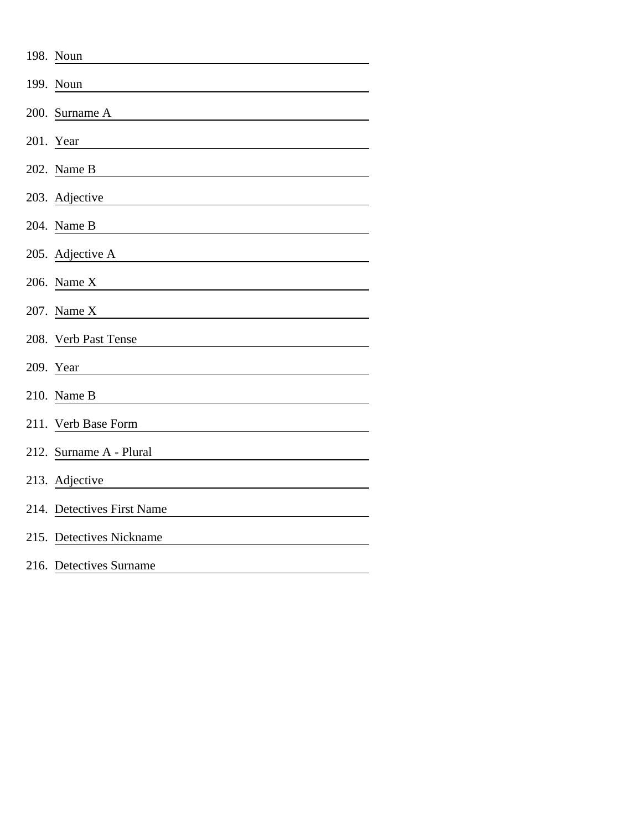| 198. Noun                  |
|----------------------------|
| 199. Noun                  |
| 200. Surname A             |
| 201. Year                  |
| 202. Name B                |
| 203. Adjective             |
| 204. Name B                |
| 205. Adjective A           |
| 206. Name X                |
| 207. Name X                |
| 208. Verb Past Tense       |
| 209. Year                  |
| 210. Name B                |
| 211. Verb Base Form        |
| 212. Surname A - Plural    |
| 213. Adjective             |
| 214. Detectives First Name |
| 215. Detectives Nickname   |
| 216. Detectives Surname    |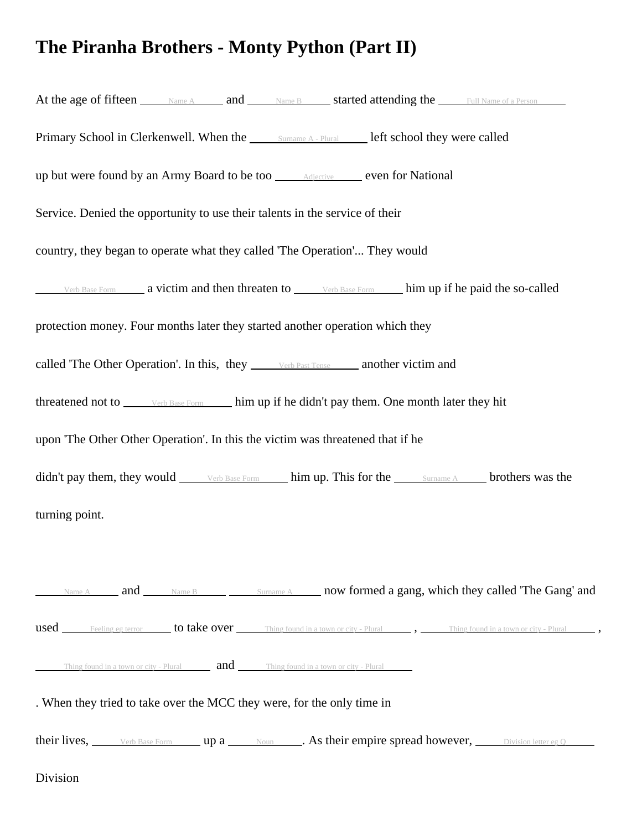## **The Piranha Brothers - Monty Python (Part II)**

| At the age of fifteen <u>Name A</u> and Name B <b>Started attending the</b> Full Name of a Person                            |  |  |  |  |
|------------------------------------------------------------------------------------------------------------------------------|--|--|--|--|
| Primary School in Clerkenwell. When the Sumame A - Plural Left school they were called                                       |  |  |  |  |
| up but were found by an Army Board to be too ______ Adjective _______ even for National                                      |  |  |  |  |
| Service. Denied the opportunity to use their talents in the service of their                                                 |  |  |  |  |
| country, they began to operate what they called 'The Operation' They would                                                   |  |  |  |  |
| Verb Base Form <b>a</b> victim and then threaten to <b>South Base Form</b> him up if he paid the so-called                   |  |  |  |  |
| protection money. Four months later they started another operation which they                                                |  |  |  |  |
| called 'The Other Operation'. In this, they verb Past Tense another victim and                                               |  |  |  |  |
| threatened not to verb Base Form him up if he didn't pay them. One month later they hit                                      |  |  |  |  |
| upon 'The Other Other Operation'. In this the victim was threatened that if he                                               |  |  |  |  |
| didn't pay them, they would verb Base Form him up. This for the surname A brothers was the                                   |  |  |  |  |
| turning point.                                                                                                               |  |  |  |  |
|                                                                                                                              |  |  |  |  |
| Name A and Mame B Sumame A now formed a gang, which they called 'The Gang' and                                               |  |  |  |  |
| used <u>Feeling eg terror</u> to take over Thing found in a town or city - Plural , Thing found in a town or city - Plural , |  |  |  |  |
| Thing found in a town or city - Plural <b>and</b> Thing found in a town or city - Plural                                     |  |  |  |  |
| . When they tried to take over the MCC they were, for the only time in                                                       |  |  |  |  |
| their lives, verb Base Form up a Noun As their empire spread however, Division letter eg O                                   |  |  |  |  |

Division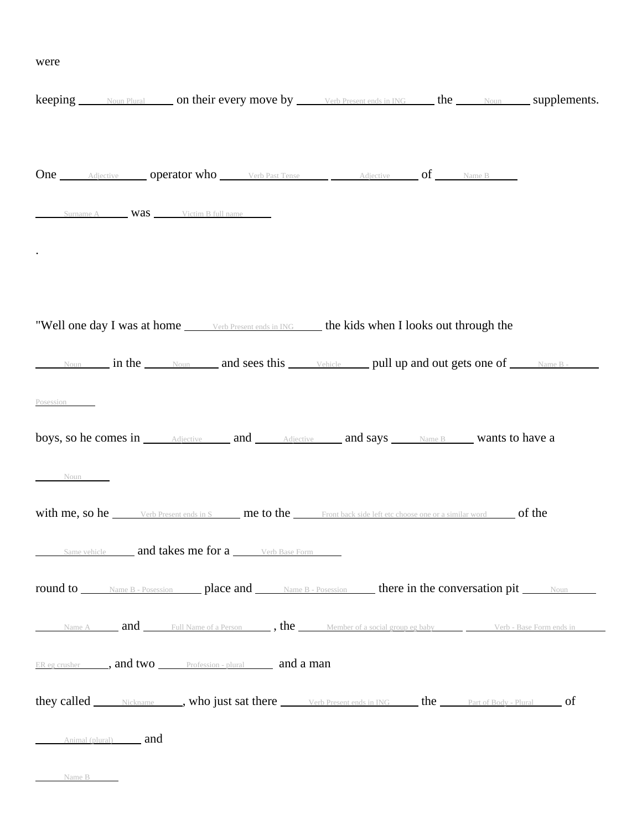## were

|           |                            | <b>keeping</b> Noun Plural on their every move by Verb Present ends in ING the Noun Supplements.                                                         |  |  |  |
|-----------|----------------------------|----------------------------------------------------------------------------------------------------------------------------------------------------------|--|--|--|
|           |                            |                                                                                                                                                          |  |  |  |
|           |                            | <b>One</b> Adjective <b>operator who</b> Verb Past Tense Adjective of Name B                                                                             |  |  |  |
|           |                            | Surname A <b>Was</b> Victim B full name                                                                                                                  |  |  |  |
|           |                            | "Well one day I was at home <u>some Present ends in ING</u> the kids when I looks out through the                                                        |  |  |  |
|           |                            | Noun in the Noun and sees this vehicle pull up and out gets one of Name B.                                                                               |  |  |  |
| Posession |                            |                                                                                                                                                          |  |  |  |
|           |                            | boys, so he comes in <u>Adjective</u> and Adjective and Says Name B <b>Wants</b> to have a                                                               |  |  |  |
| Noun      |                            |                                                                                                                                                          |  |  |  |
|           |                            | with me, so he <u>verb Present ends in S</u> me to the Front back side left etc choose one or a similar word of the                                      |  |  |  |
|           |                            | Same vehicle <b>and takes me for a</b> Werb Base Form                                                                                                    |  |  |  |
|           |                            | round to <u>Name B - Posession</u> place and Name B - Posession here in the conversation pit Noun                                                        |  |  |  |
|           |                            | Name A <b>and</b> Full Name of a Person <b>b</b> , the Member of a social group eg baby <b>Start Contract Contract Contract A</b> Corporate Term ends in |  |  |  |
|           |                            | ER eg crusher ______, and two _______ Profession - plural ________ and a man                                                                             |  |  |  |
|           |                            | they called Nickname , who just sat there Verb Present ends in ING here Part of Body - Plural of                                                         |  |  |  |
|           | Animal (plural) <b>and</b> |                                                                                                                                                          |  |  |  |

Name B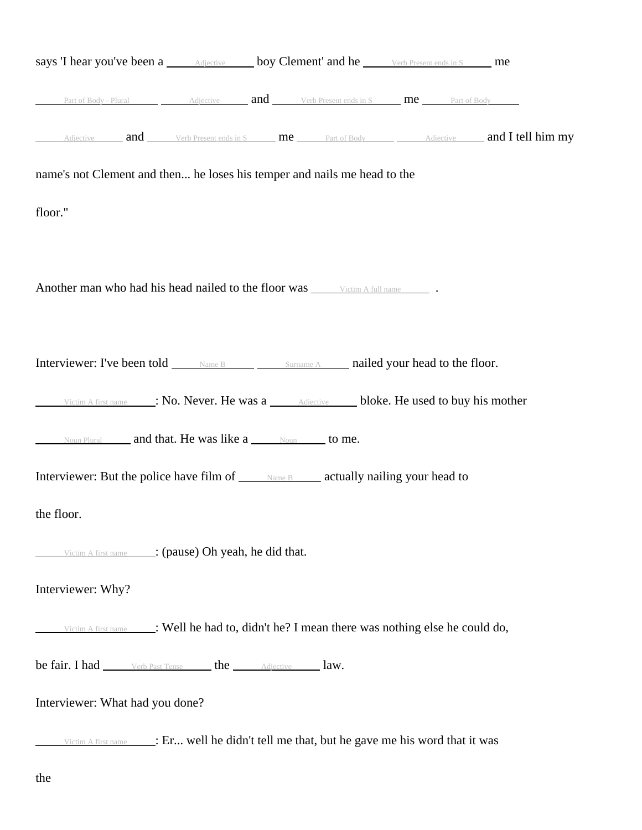| says 'I hear you've been a <i>Adjective</i> boy Clement' and he <i>verb Present ends in S</i> me                                    |                                                                                                 |  |  |
|-------------------------------------------------------------------------------------------------------------------------------------|-------------------------------------------------------------------------------------------------|--|--|
| Part of Body - Plural $\overline{A}$ Adjective $\overline{A}$ and $\overline{C}$ verb Present ends in S $\overline{C}$ Part of Body |                                                                                                 |  |  |
| Adjective and Verb Present ends in S me Part of Body Adjective and I tell him my                                                    |                                                                                                 |  |  |
| name's not Clement and then he loses his temper and nails me head to the                                                            |                                                                                                 |  |  |
| floor."                                                                                                                             |                                                                                                 |  |  |
|                                                                                                                                     |                                                                                                 |  |  |
| Another man who had his head nailed to the floor was victim A full name                                                             |                                                                                                 |  |  |
|                                                                                                                                     |                                                                                                 |  |  |
| Interviewer: I've been told <u>Name B Surname A</u> nailed your head to the floor.                                                  |                                                                                                 |  |  |
| Victim A first name : No. Never. He was a <u>Adjective</u> bloke. He used to buy his mother                                         |                                                                                                 |  |  |
|                                                                                                                                     |                                                                                                 |  |  |
| Interviewer: But the police have film of ______ Name B______ actually nailing your head to                                          |                                                                                                 |  |  |
| the floor.                                                                                                                          |                                                                                                 |  |  |
|                                                                                                                                     | Victim A first name : (pause) Oh yeah, he did that.                                             |  |  |
| Interviewer: Why?                                                                                                                   |                                                                                                 |  |  |
|                                                                                                                                     | Victim A first name : Well he had to, didn't he? I mean there was nothing else he could do,     |  |  |
| be fair. I had _______ verb Past Tense _______ the ________ Adjective _______ law.                                                  |                                                                                                 |  |  |
| Interviewer: What had you done?                                                                                                     |                                                                                                 |  |  |
|                                                                                                                                     | Victim A first name ______: Er well he didn't tell me that, but he gave me his word that it was |  |  |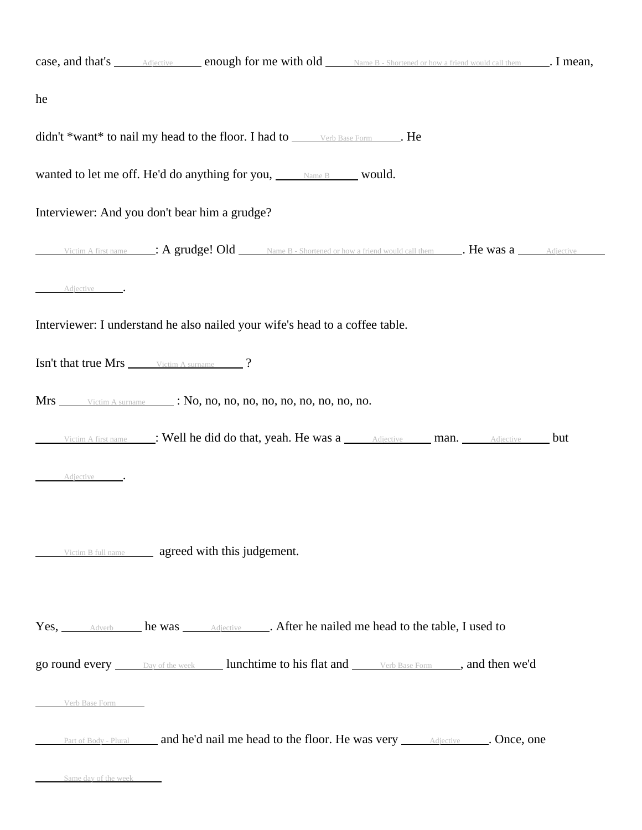|                                                       | case, and that's <u>Adjective</u> enough for me with old Name B - Shortened or how a friend would call them . I mean,                                                   |  |  |
|-------------------------------------------------------|-------------------------------------------------------------------------------------------------------------------------------------------------------------------------|--|--|
| he                                                    |                                                                                                                                                                         |  |  |
|                                                       | didn't *want* to nail my head to the floor. I had to verb Base Form _____. He                                                                                           |  |  |
|                                                       | wanted to let me off. He'd do anything for you, Name B Would.                                                                                                           |  |  |
|                                                       | Interviewer: And you don't bear him a grudge?                                                                                                                           |  |  |
|                                                       | Victim A first name $\blacksquare$ : A grudge! Old $\blacksquare$ Name B - Shortened or how a friend would call them $\blacksquare$ . He was a $\blacksquare$ Adjective |  |  |
| Adjective                                             |                                                                                                                                                                         |  |  |
|                                                       | Interviewer: I understand he also nailed your wife's head to a coffee table.                                                                                            |  |  |
| Isn't that true Mrs ______ Victim A surname _______ ? |                                                                                                                                                                         |  |  |
|                                                       |                                                                                                                                                                         |  |  |
|                                                       | Victim A first name : Well he did do that, yeah. He was a Adjective man. Adjective but                                                                                  |  |  |
| Adjective .                                           |                                                                                                                                                                         |  |  |
|                                                       |                                                                                                                                                                         |  |  |
|                                                       | Victim B full name <b>agreed with this judgement.</b>                                                                                                                   |  |  |
|                                                       |                                                                                                                                                                         |  |  |
|                                                       | Yes, <u>Adverb</u> he was <u>Adjective</u> After he nailed me head to the table, I used to                                                                              |  |  |
|                                                       | go round every <u>Day of the week</u> lunchtime to his flat and <u>Verb Base Form</u> , and then we'd                                                                   |  |  |
| Verb Base Form                                        |                                                                                                                                                                         |  |  |
|                                                       | Part of Body - Plural <b>and he'd nail me head to the floor. He was very</b> <u>Adjective and <b>Once</b></u> , one                                                     |  |  |
| Same day of the week                                  |                                                                                                                                                                         |  |  |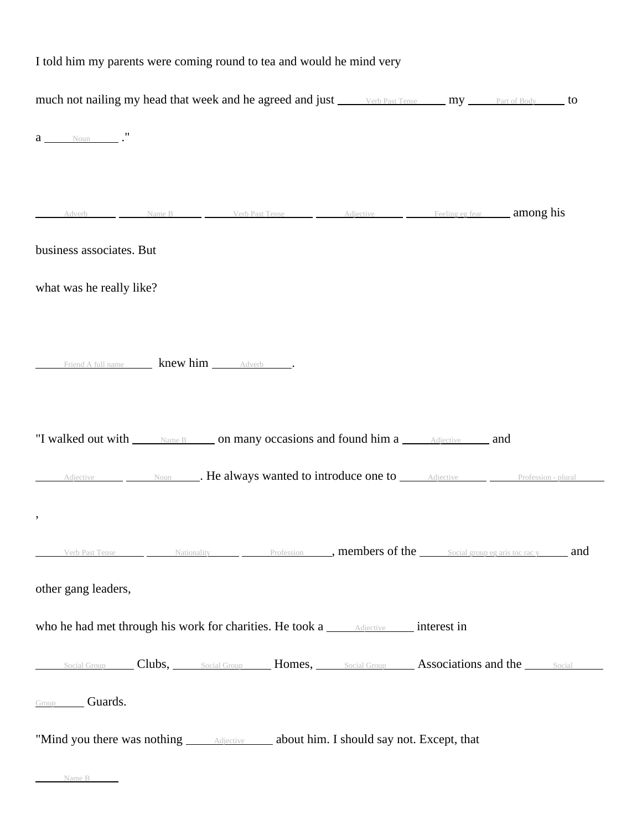| I told him my parents were coming round to tea and would he mind very                                                                |  |  |  |  |
|--------------------------------------------------------------------------------------------------------------------------------------|--|--|--|--|
| much not nailing my head that week and he agreed and just verb Past Tense my Part of Body to                                         |  |  |  |  |
| $a \qquad \qquad$ Noun $\qquad \qquad$ ."                                                                                            |  |  |  |  |
|                                                                                                                                      |  |  |  |  |
| Adverb Name B Verb Past Tense Adjective Feeling eg fear <b>among his</b>                                                             |  |  |  |  |
| business associates. But                                                                                                             |  |  |  |  |
| what was he really like?                                                                                                             |  |  |  |  |
|                                                                                                                                      |  |  |  |  |
| Friend A full name <b>knew him</b> Adverb                                                                                            |  |  |  |  |
|                                                                                                                                      |  |  |  |  |
| "I walked out with <u>same B</u> on many occasions and found him a same and and solution and solution of the Manne B                 |  |  |  |  |
| Adjective Moun Moun Moun Mealways wanted to introduce one to Madjective Madiective Profession - plural                               |  |  |  |  |
|                                                                                                                                      |  |  |  |  |
| Verb Past Tense $\_\_\_\_\$ Nationality $\_\_\_\$ Profession $\_\_\_\$ , members of the $\_\_\_\$ Social group eg aris toc rac y and |  |  |  |  |
| other gang leaders,                                                                                                                  |  |  |  |  |
| who he had met through his work for charities. He took a <u>sadiective</u> interest in                                               |  |  |  |  |
| Social Group Clubs, Social Group Homes, Social Group Associations and the Social                                                     |  |  |  |  |
| Group Guards.                                                                                                                        |  |  |  |  |
| "Mind you there was nothing ______ Adjective ______ about him. I should say not. Except, that                                        |  |  |  |  |
| Name B                                                                                                                               |  |  |  |  |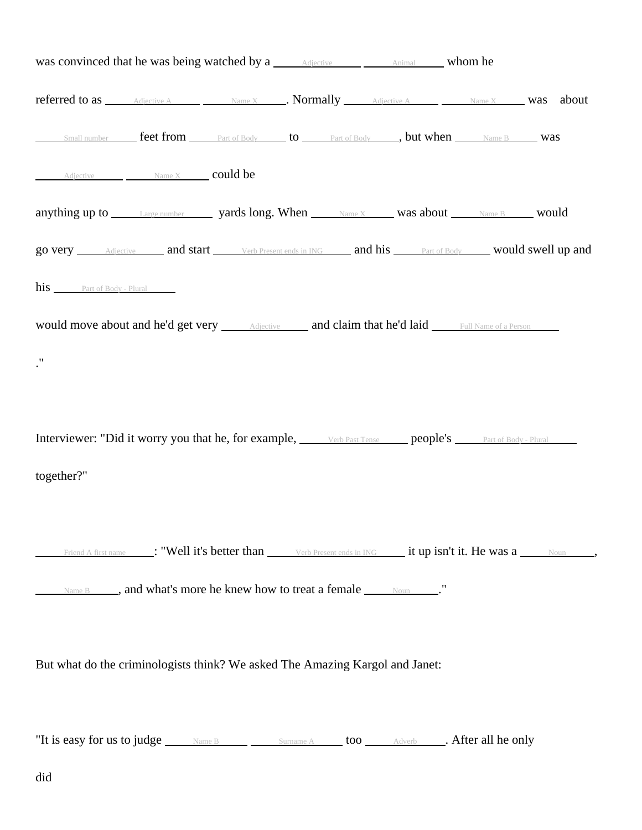| was convinced that he was being watched by a <u>salective substantial</u> whom he                     |                                                                                                                                  |  |  |  |
|-------------------------------------------------------------------------------------------------------|----------------------------------------------------------------------------------------------------------------------------------|--|--|--|
| <b>referred to as</b> Adjective A Name X Normally Adjective A Name X Was about                        |                                                                                                                                  |  |  |  |
| Small number <b>feet from</b> Part of Body <b>to</b> Part of Body <b>, but when</b> Name B <b>Was</b> |                                                                                                                                  |  |  |  |
| Adjective Mame X could be                                                                             |                                                                                                                                  |  |  |  |
| anything up to <i>Large number</i> yards long. When Name X was about Name B would                     |                                                                                                                                  |  |  |  |
| go very Adjective and start Verb Present ends in ING and his Part of Body would swell up and          |                                                                                                                                  |  |  |  |
| his Part of Body - Plural                                                                             |                                                                                                                                  |  |  |  |
|                                                                                                       |                                                                                                                                  |  |  |  |
| $\cdot$ "                                                                                             |                                                                                                                                  |  |  |  |
|                                                                                                       |                                                                                                                                  |  |  |  |
| Interviewer: "Did it worry you that he, for example, verb Past Tense people's rat of Body - Plural    |                                                                                                                                  |  |  |  |
| together?"                                                                                            |                                                                                                                                  |  |  |  |
|                                                                                                       |                                                                                                                                  |  |  |  |
|                                                                                                       | Friend A first name ___: "Well it's better than ______ Verb Present ends in ING _____ it up isn't it. He was a _____ Noun _____, |  |  |  |
| Name B <b>No. 3</b> , and what's more he knew how to treat a female Noun Noun No.                     |                                                                                                                                  |  |  |  |
|                                                                                                       |                                                                                                                                  |  |  |  |
| But what do the criminologists think? We asked The Amazing Kargol and Janet:                          |                                                                                                                                  |  |  |  |
|                                                                                                       |                                                                                                                                  |  |  |  |
| "It is easy for us to judge Name B Surname A too Adverb After all he only                             |                                                                                                                                  |  |  |  |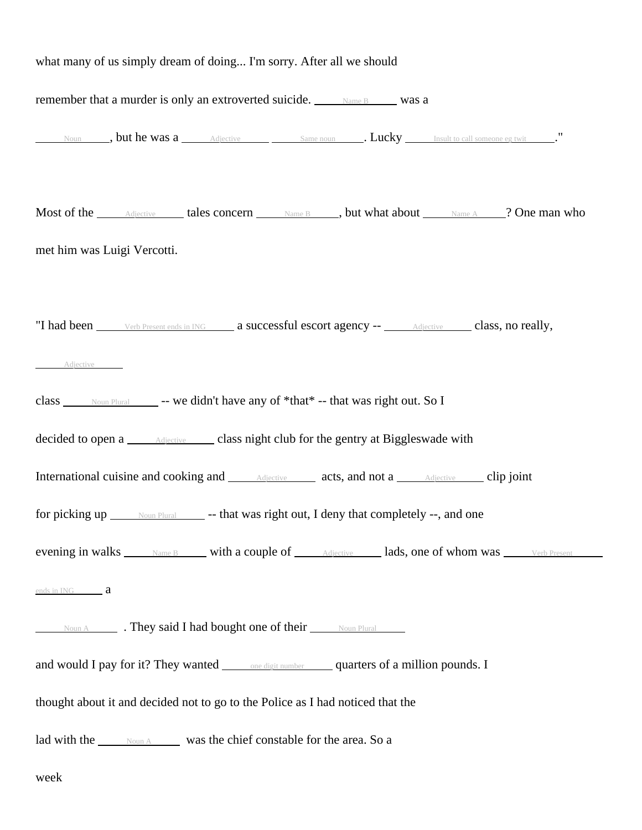| what many of us simply dream of doing I'm sorry. After all we should                                                                                                                                                                                   |  |  |                                                                                       |
|--------------------------------------------------------------------------------------------------------------------------------------------------------------------------------------------------------------------------------------------------------|--|--|---------------------------------------------------------------------------------------|
| remember that a murder is only an extroverted suicide. Mame B Was a                                                                                                                                                                                    |  |  |                                                                                       |
| Noun but he was a <u>Adjective Same noun</u> Same noun <b>Lucky</b> Insult to call someone eg twit                                                                                                                                                     |  |  |                                                                                       |
| Most of the <i>Adjective</i> <b>Later Concern Later School State B Later Manne A Concernant Wanne A Concernant Wanne A Concernant Wanne A Concernant Wanne A Concernant Wanne A Concernant Wanne A Concernant Wanne</b><br>met him was Luigi Vercotti. |  |  |                                                                                       |
| "I had been <u>verb Present ends in ING</u> a successful escort agency -- <b>Adjective</b> class, no really,<br>Adjective                                                                                                                              |  |  |                                                                                       |
| class _____ Noun Plural _______ -- we didn't have any of *that* -- that was right out. So I                                                                                                                                                            |  |  |                                                                                       |
| decided to open a <u>Adjective</u> class night club for the gentry at Biggleswade with                                                                                                                                                                 |  |  |                                                                                       |
| International cuisine and cooking and <u>Adjective</u> acts, and not a <u>Adjective</u> clip joint                                                                                                                                                     |  |  |                                                                                       |
| for picking up <u>Noun Plural</u> -- that was right out, I deny that completely --, and one                                                                                                                                                            |  |  |                                                                                       |
|                                                                                                                                                                                                                                                        |  |  | evening in walks Name B with a couple of Adjective lads, one of whom was Verb Present |
| ends in ING <b>a</b>                                                                                                                                                                                                                                   |  |  |                                                                                       |
| Noun A <b>They said I had bought one of their</b> Noun Plural                                                                                                                                                                                          |  |  |                                                                                       |
| and would I pay for it? They wanted ______ one digit number ______ quarters of a million pounds. I                                                                                                                                                     |  |  |                                                                                       |
| thought about it and decided not to go to the Police as I had noticed that the                                                                                                                                                                         |  |  |                                                                                       |
| lad with the <u>second</u> was the chief constable for the area. So a                                                                                                                                                                                  |  |  |                                                                                       |

week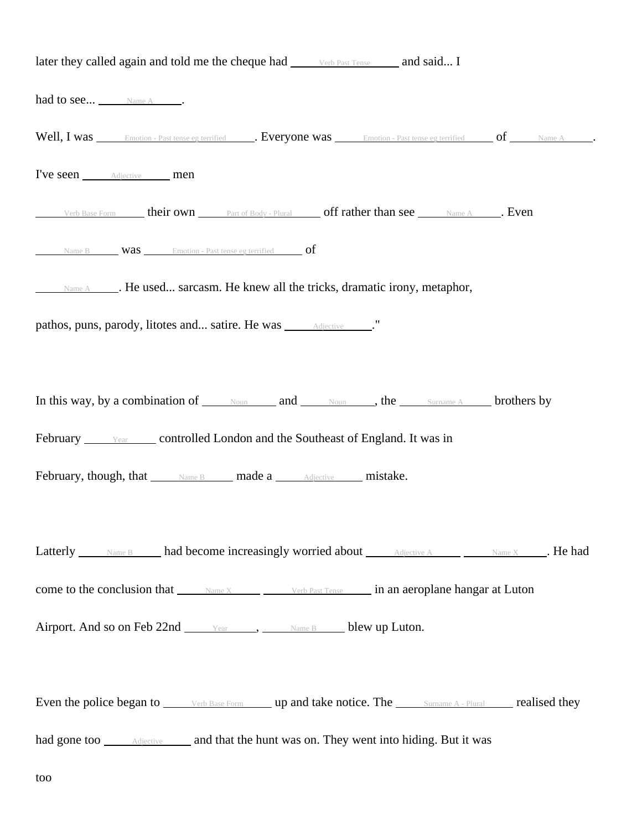| later they called again and told me the cheque had verb Past Tense and said I                                                                                                                                                        |
|--------------------------------------------------------------------------------------------------------------------------------------------------------------------------------------------------------------------------------------|
| had to see Name A _____.                                                                                                                                                                                                             |
| Well, I was <u>Finotion - Past tense eg terrified For and the Compact Compact Compact Compact Compact Compact Compact Compact Compact Compact Compact Compact Compact Compact Compact Compact Compact Compact Compact Compact Co</u> |
| I've seen <b>Adjective</b> men                                                                                                                                                                                                       |
| Verb Base Form <b>heir own</b> Part of Body - Plural <b>off rather than see</b> Name A <b>. Even</b>                                                                                                                                 |
| Name B <b>Was</b> Emotion - Past tense eg terrified <b>of</b>                                                                                                                                                                        |
| Name A <b>Manual</b> He used sarcasm. He knew all the tricks, dramatic irony, metaphor,                                                                                                                                              |
| pathos, puns, parody, litotes and satire. He was <i>_____________________</i> ."                                                                                                                                                     |
|                                                                                                                                                                                                                                      |
| In this way, by a combination of Noun and Noun, the Sumame A brothers by                                                                                                                                                             |
| February <u>Year</u> controlled London and the Southeast of England. It was in                                                                                                                                                       |
| February, though, that Mame B made a Adjective mistake.                                                                                                                                                                              |
|                                                                                                                                                                                                                                      |
| Latterly Name B had become increasingly worried about Adjective A Name X Rehad                                                                                                                                                       |
| come to the conclusion that $\frac{N_{\text{ame }X}}{N_{\text{ame }X}}$ verb Past Tense in an aeroplane hangar at Luton                                                                                                              |
| Airport. And so on Feb 22nd <u>vear</u> , <u>Name B</u> blew up Luton.                                                                                                                                                               |
|                                                                                                                                                                                                                                      |
| Even the police began to verb Base Form up and take notice. The surname A - Plural realised they                                                                                                                                     |
|                                                                                                                                                                                                                                      |